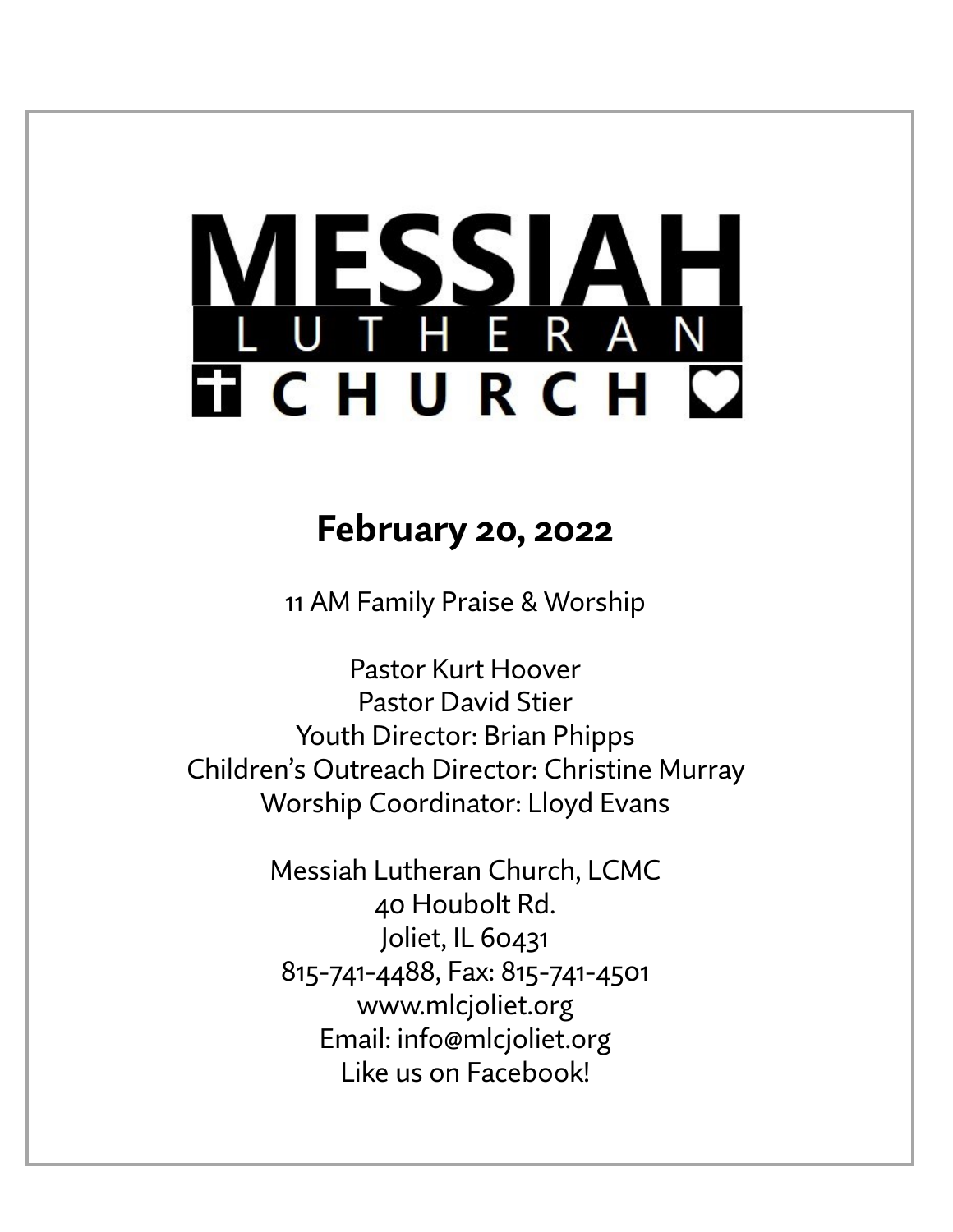# **MESSIAH TICHURCH C**

# **February 20, 2022**

11 AM Family Praise & Worship

Pastor Kurt Hoover Pastor David Stier Youth Director: Brian Phipps Children's Outreach Director: Christine Murray Worship Coordinator: Lloyd Evans

> Messiah Lutheran Church, LCMC 40 Houbolt Rd. Joliet, IL 60431 815-741-4488, Fax: 815-741-4501 www.mlcjoliet.org Email: info@mlcjoliet.org Like us on Facebook!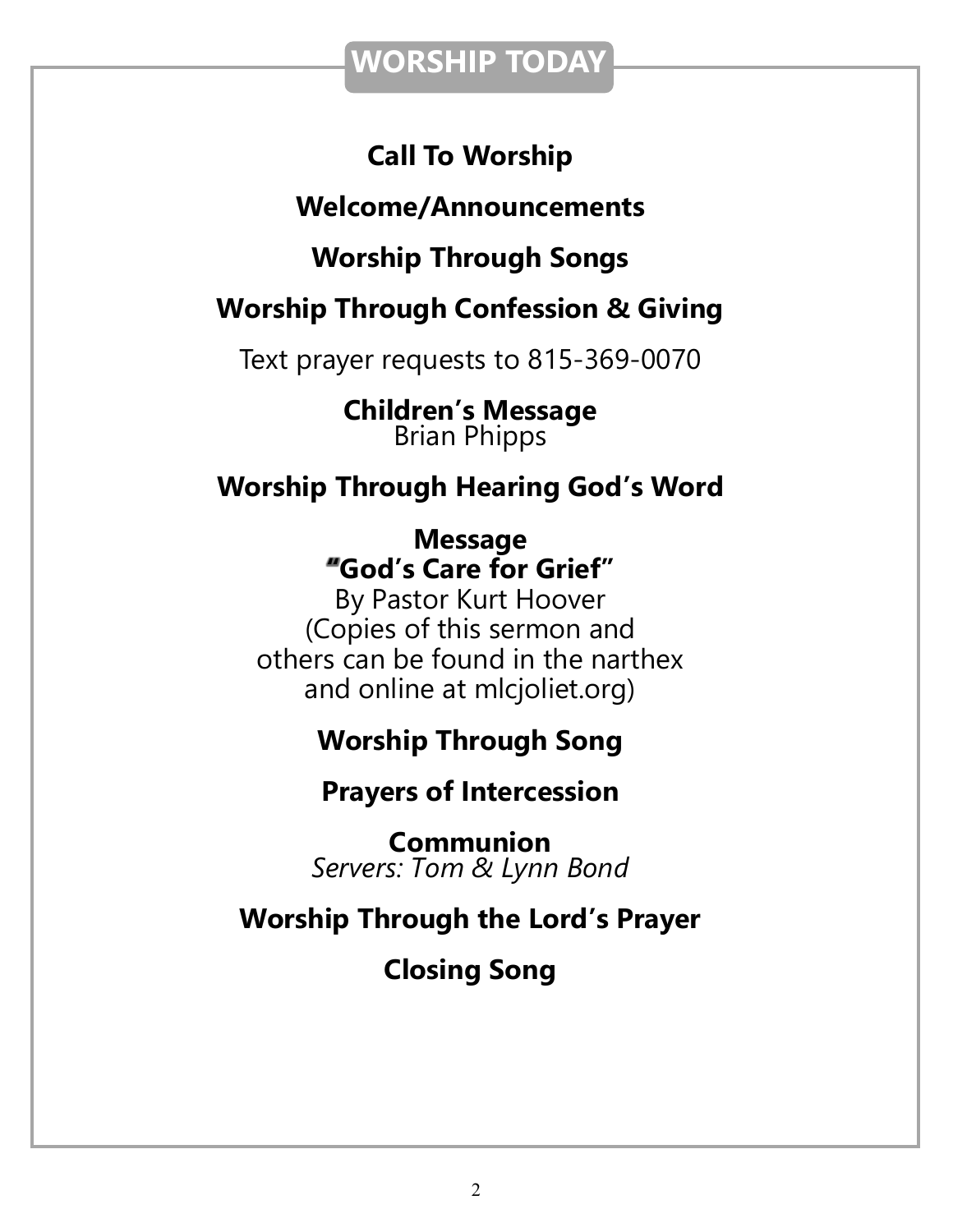### **WORSHIP TODAY**

### **Call To Worship**

### **Welcome/Announcements**

### **Worship Through Songs**

### **Worship Through Confession & Giving**

Text prayer requests to 815-369-0070

**Children's Message** Brian Phipps

### **Worship Through Hearing God's Word**

**Message "God's Care for Grief"**

By Pastor Kurt Hoover (Copies of this sermon and others can be found in the narthex and online at mlcjoliet.org)

### **Worship Through Song**

### **Prayers of Intercession**

**Communion** *Servers: Tom & Lynn Bond*

### **Worship Through the Lord's Prayer**

**Closing Song**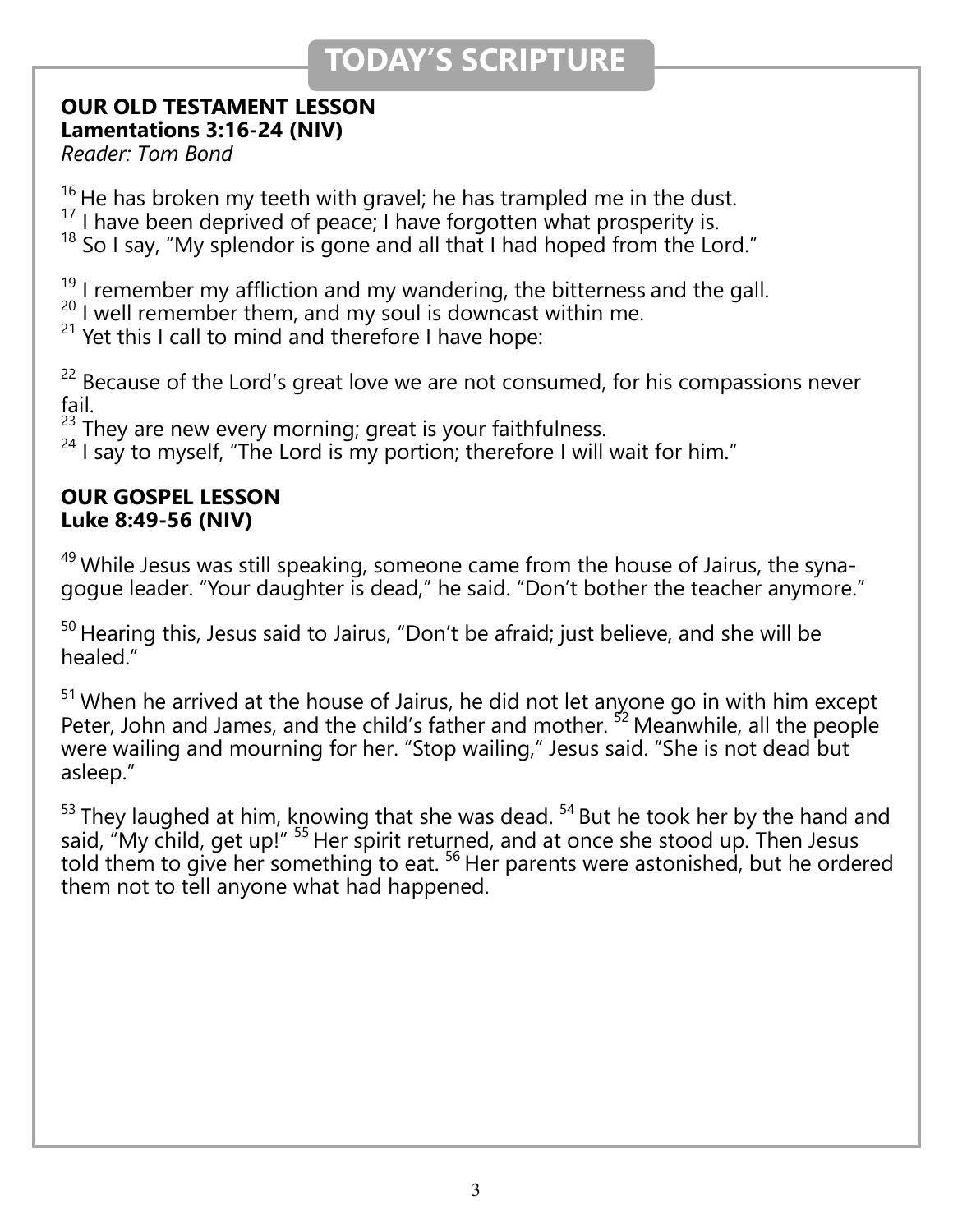# **TODAY'S SCRIPTURE**

### **OUR OLD TESTAMENT LESSON Lamentations 3:16-24 (NIV)**

*Reader: Tom Bond*

 $16$  He has broken my teeth with gravel; he has trampled me in the dust.

 $17$  I have been deprived of peace; I have forgotten what prosperity is.

 $18$  So I say, "My splendor is gone and all that I had hoped from the Lord."

 $19$  I remember my affliction and my wandering, the bitterness and the gall.

<sup>20</sup> I well remember them, and my soul is downcast within me.

 $21$  Yet this I call to mind and therefore I have hope:

 $22$  Because of the Lord's great love we are not consumed, for his compassions never fail.

 $\frac{23}{3}$  They are new every morning; great is your faithfulness.

 $24$  I say to myself, "The Lord is my portion; therefore I will wait for him."

### **OUR GOSPEL LESSON Luke 8:49-56 (NIV)**

 $49$  While Jesus was still speaking, someone came from the house of Jairus, the synagogue leader. "Your daughter is dead," he said. "Don't bother the teacher anymore."

<sup>50</sup> Hearing this, Jesus said to Jairus, "Don't be afraid; just believe, and she will be healed."

 $51$  When he arrived at the house of Jairus, he did not let anyone go in with him except Peter, John and James, and the child's father and mother.<sup>52</sup> Meanwhile, all the people were wailing and mourning for her. "Stop wailing," Jesus said. "She is not dead but asleep."

 $53$  They laughed at him, knowing that she was dead.  $54$  But he took her by the hand and said, "My child, get up!" <sup>55</sup> Her spirit returned, and at once she stood up. Then Jesus told them to give her something to eat. <sup>56</sup> Her parents were astonished, but he ordered them not to tell anyone what had happened.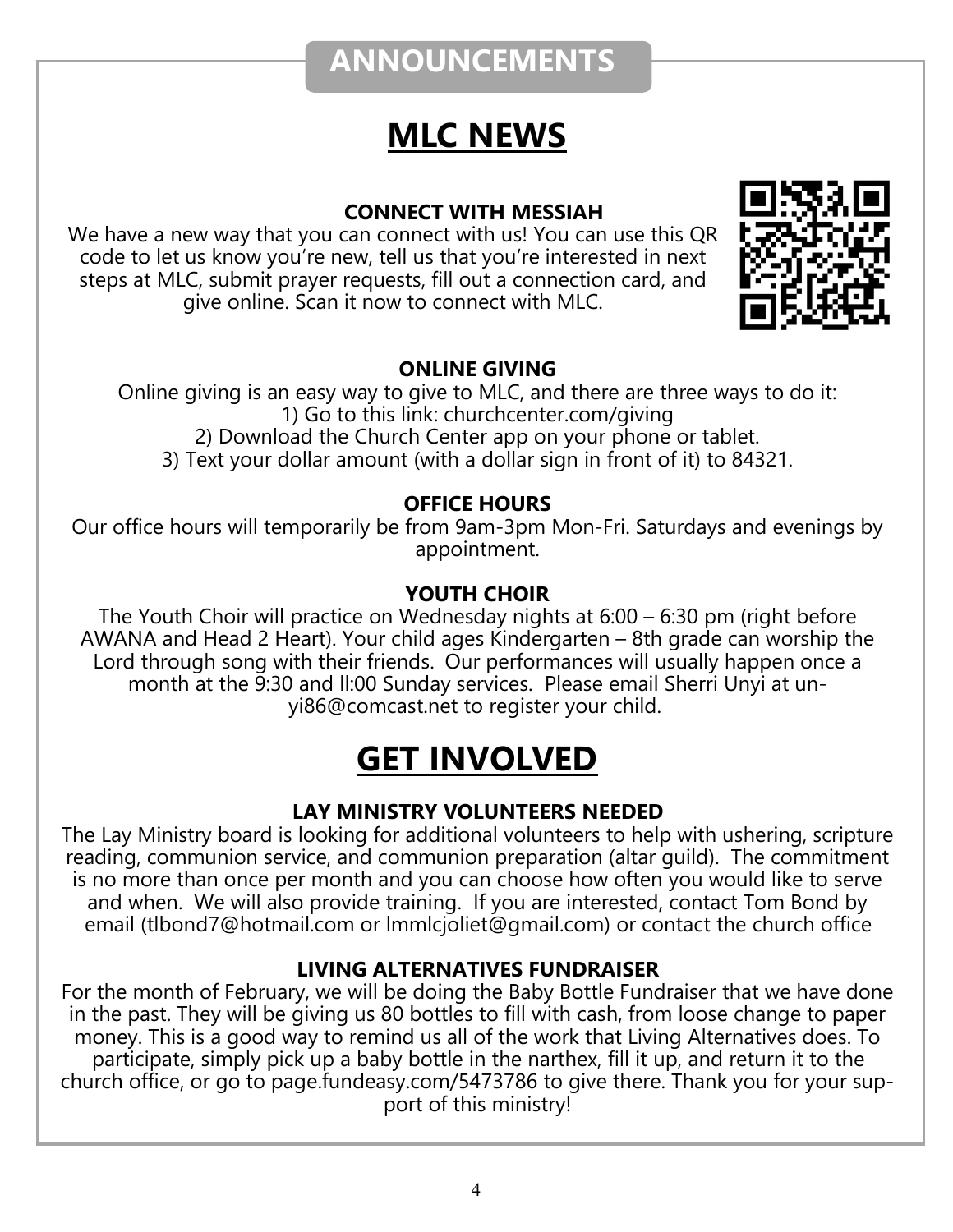# **ANNOUNCEMENTS**

# **MLC NEWS**

### **CONNECT WITH MESSIAH**

We have a new way that you can connect with us! You can use this QR code to let us know you're new, tell us that you're interested in next steps at MLC, submit prayer requests, fill out a connection card, and give online. Scan it now to connect with MLC.



### **ONLINE GIVING**

Online giving is an easy way to give to MLC, and there are three ways to do it: 1) Go to this link: churchcenter.com/giving 2) Download the Church Center app on your phone or tablet. 3) Text your dollar amount (with a dollar sign in front of it) to 84321.

### **OFFICE HOURS**

Our office hours will temporarily be from 9am-3pm Mon-Fri. Saturdays and evenings by appointment.

### **YOUTH CHOIR**

The Youth Choir will practice on Wednesday nights at 6:00 – 6:30 pm (right before AWANA and Head 2 Heart). Your child ages Kindergarten – 8th grade can worship the Lord through song with their friends. Our performances will usually happen once a month at the 9:30 and ll:00 Sunday services. Please email Sherri Unyi at unyi86@comcast.net to register your child.

# **GET INVOLVED**

### **LAY MINISTRY VOLUNTEERS NEEDED**

The Lay Ministry board is looking for additional volunteers to help with ushering, scripture reading, communion service, and communion preparation (altar guild). The commitment is no more than once per month and you can choose how often you would like to serve and when. We will also provide training. If you are interested, contact Tom Bond by email (tlbond7@hotmail.com or lmmlcjoliet@gmail.com) or contact the church office

### **LIVING ALTERNATIVES FUNDRAISER**

For the month of February, we will be doing the Baby Bottle Fundraiser that we have done in the past. They will be giving us 80 bottles to fill with cash, from loose change to paper money. This is a good way to remind us all of the work that Living Alternatives does. To participate, simply pick up a baby bottle in the narthex, fill it up, and return it to the church office, or go to page.fundeasy.com/5473786 to give there. Thank you for your support of this ministry!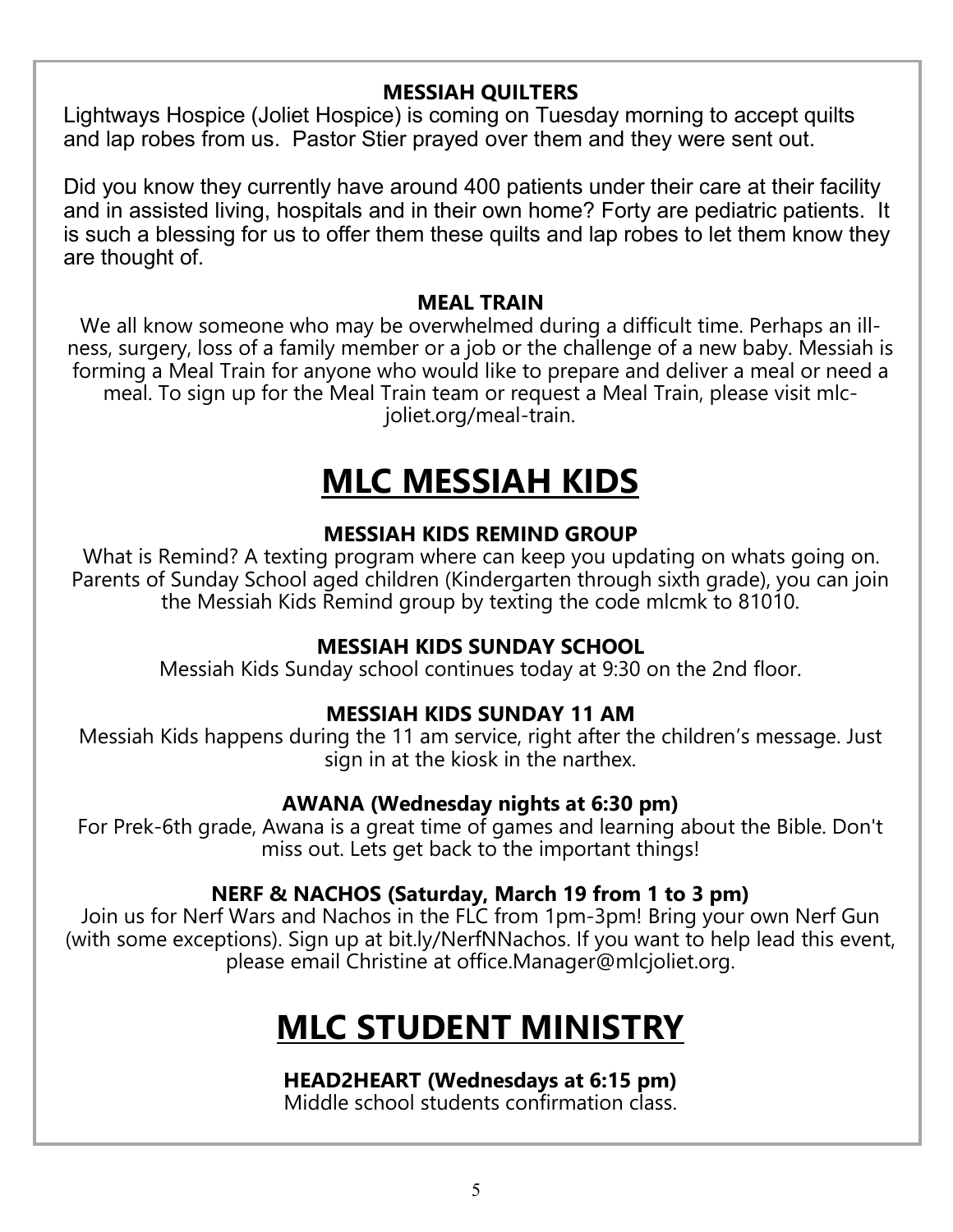#### **MESSIAH QUILTERS**

Lightways Hospice (Joliet Hospice) is coming on Tuesday morning to accept quilts and lap robes from us. Pastor Stier prayed over them and they were sent out.

Did you know they currently have around 400 patients under their care at their facility and in assisted living, hospitals and in their own home? Forty are pediatric patients. It is such a blessing for us to offer them these quilts and lap robes to let them know they are thought of.

#### **MEAL TRAIN**

We all know someone who may be overwhelmed during a difficult time. Perhaps an illness, surgery, loss of a family member or a job or the challenge of a new baby. Messiah is forming a Meal Train for anyone who would like to prepare and deliver a meal or need a meal. To sign up for the Meal Train team or request a Meal Train, please visit mlcjoliet.org/meal-train.

# **MLC MESSIAH KIDS**

### **MESSIAH KIDS REMIND GROUP**

What is Remind? A texting program where can keep you updating on whats going on. Parents of Sunday School aged children (Kindergarten through sixth grade), you can join the Messiah Kids Remind group by texting the code mlcmk to 81010.

### **MESSIAH KIDS SUNDAY SCHOOL**

Messiah Kids Sunday school continues today at 9:30 on the 2nd floor.

### **MESSIAH KIDS SUNDAY 11 AM**

Messiah Kids happens during the 11 am service, right after the children's message. Just sign in at the kiosk in the narthex.

#### **AWANA (Wednesday nights at 6:30 pm)**

For Prek-6th grade, Awana is a great time of games and learning about the Bible. Don't miss out. Lets get back to the important things!

### **NERF & NACHOS (Saturday, March 19 from 1 to 3 pm)**

Join us for Nerf Wars and Nachos in the FLC from 1pm-3pm! Bring your own Nerf Gun (with some exceptions). Sign up at bit.ly/NerfNNachos. If you want to help lead this event, please email Christine at office.Manager@mlcjoliet.org.

# **MLC STUDENT MINISTRY**

#### **HEAD2HEART (Wednesdays at 6:15 pm)**

Middle school students confirmation class.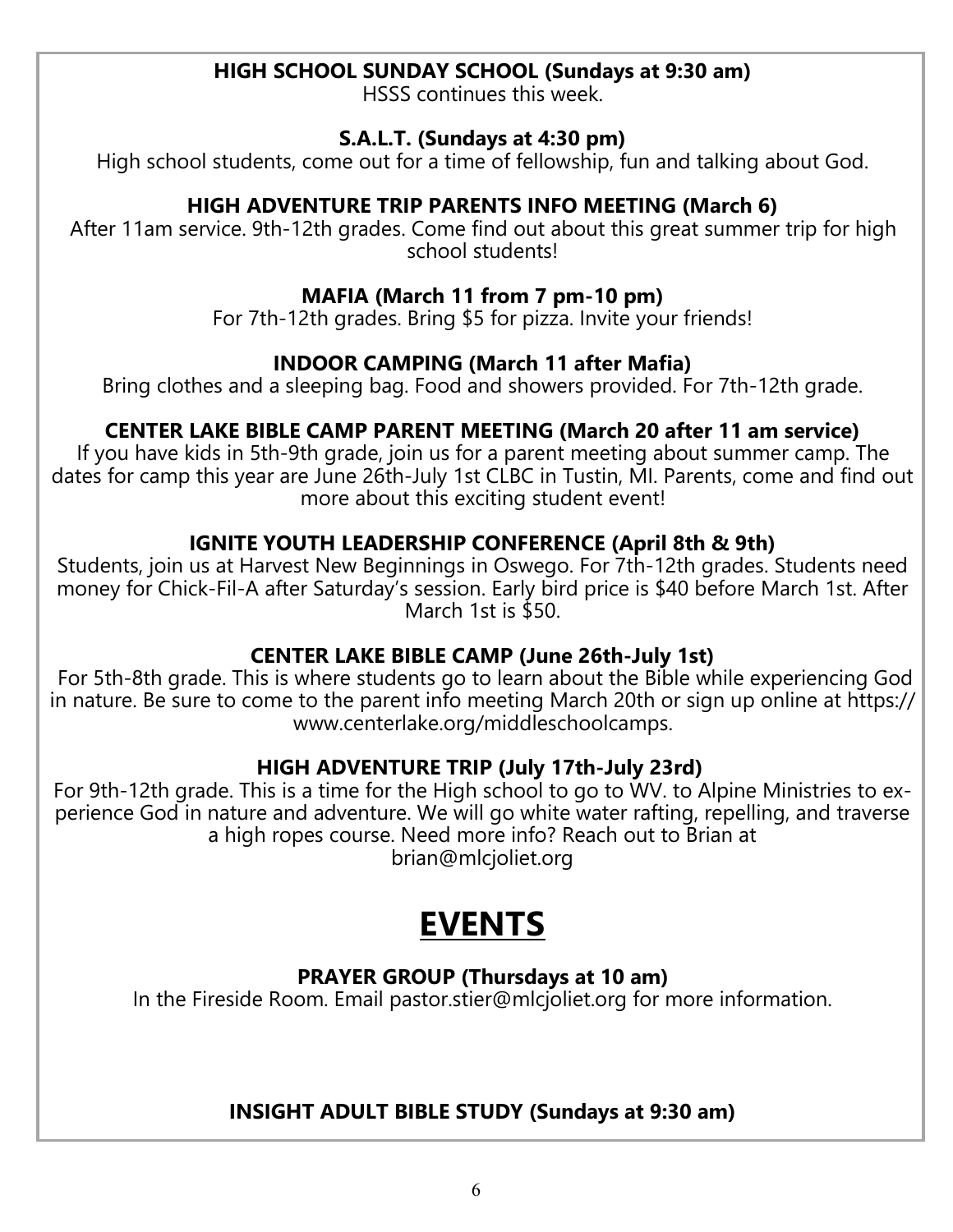#### **HIGH SCHOOL SUNDAY SCHOOL (Sundays at 9:30 am)**

HSSS continues this week.

#### **S.A.L.T. (Sundays at 4:30 pm)**

High school students, come out for a time of fellowship, fun and talking about God.

### **HIGH ADVENTURE TRIP PARENTS INFO MEETING (March 6)**

After 11am service. 9th-12th grades. Come find out about this great summer trip for high school students!

### **MAFIA (March 11 from 7 pm-10 pm)**

For 7th-12th grades. Bring \$5 for pizza. Invite your friends!

### **INDOOR CAMPING (March 11 after Mafia)**

Bring clothes and a sleeping bag. Food and showers provided. For 7th-12th grade.

### **CENTER LAKE BIBLE CAMP PARENT MEETING (March 20 after 11 am service)**

If you have kids in 5th-9th grade, join us for a parent meeting about summer camp. The dates for camp this year are June 26th-July 1st CLBC in Tustin, MI. Parents, come and find out more about this exciting student event!

### **IGNITE YOUTH LEADERSHIP CONFERENCE (April 8th & 9th)**

Students, join us at Harvest New Beginnings in Oswego. For 7th-12th grades. Students need money for Chick-Fil-A after Saturday's session. Early bird price is \$40 before March 1st. After March 1st is \$50.

### **CENTER LAKE BIBLE CAMP (June 26th-July 1st)**

For 5th-8th grade. This is where students go to learn about the Bible while experiencing God in nature. Be sure to come to the parent info meeting March 20th or sign up online at https:// www.centerlake.org/middleschoolcamps.

### **HIGH ADVENTURE TRIP (July 17th-July 23rd)**

For 9th-12th grade. This is a time for the High school to go to WV. to Alpine Ministries to experience God in nature and adventure. We will go white water rafting, repelling, and traverse a high ropes course. Need more info? Reach out to Brian at

brian@mlcjoliet.org

# **EVENTS**

### **PRAYER GROUP (Thursdays at 10 am)**

In the Fireside Room. Email pastor.stier@mlcjoliet.org for more information.

**INSIGHT ADULT BIBLE STUDY (Sundays at 9:30 am)**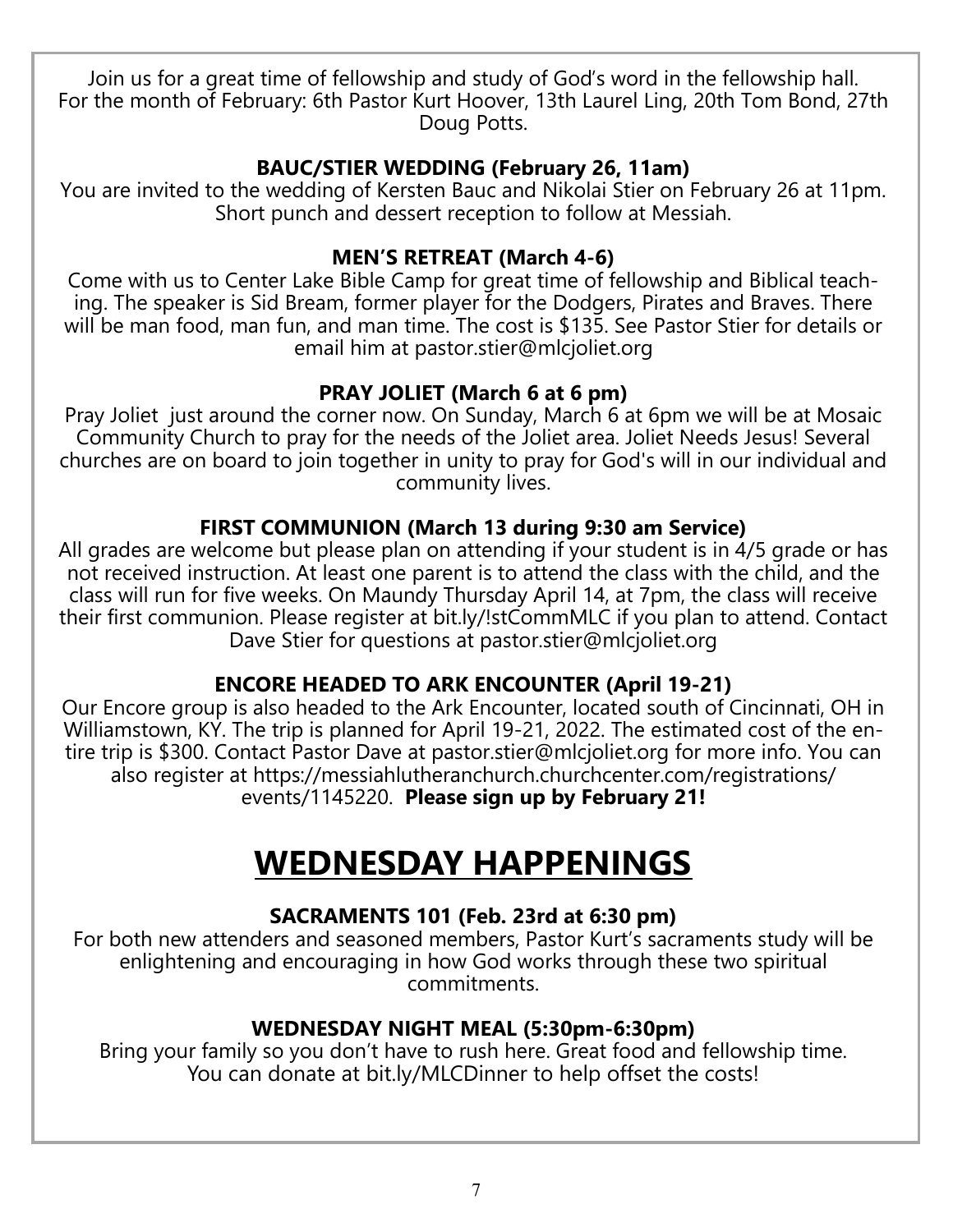Join us for a great time of fellowship and study of God's word in the fellowship hall. For the month of February: 6th Pastor Kurt Hoover, 13th Laurel Ling, 20th Tom Bond, 27th Doug Potts.

### **BAUC/STIER WEDDING (February 26, 11am)**

You are invited to the wedding of Kersten Bauc and Nikolai Stier on February 26 at 11pm. Short punch and dessert reception to follow at Messiah.

### **MEN'S RETREAT (March 4-6)**

Come with us to Center Lake Bible Camp for great time of fellowship and Biblical teaching. The speaker is Sid Bream, former player for the Dodgers, Pirates and Braves. There will be man food, man fun, and man time. The cost is \$135. See Pastor Stier for details or email him at pastor.stier@mlcjoliet.org

### **PRAY JOLIET (March 6 at 6 pm)**

Pray Joliet just around the corner now. On Sunday, March 6 at 6pm we will be at Mosaic Community Church to pray for the needs of the Joliet area. Joliet Needs Jesus! Several churches are on board to join together in unity to pray for God's will in our individual and community lives.

### **FIRST COMMUNION (March 13 during 9:30 am Service)**

All grades are welcome but please plan on attending if your student is in 4/5 grade or has not received instruction. At least one parent is to attend the class with the child, and the class will run for five weeks. On Maundy Thursday April 14, at 7pm, the class will receive their first communion. Please register at bit.ly/!stCommMLC if you plan to attend. Contact Dave Stier for questions at pastor.stier@mlcjoliet.org

### **ENCORE HEADED TO ARK ENCOUNTER (April 19-21)**

Our Encore group is also headed to the Ark Encounter, located south of Cincinnati, OH in Williamstown, KY. The trip is planned for April 19-21, 2022. The estimated cost of the entire trip is \$300. Contact Pastor Dave at pastor.stier@mlcjoliet.org for more info. You can also register at https://messiahlutheranchurch.churchcenter.com/registrations/ events/1145220. **Please sign up by February 21!**

# **WEDNESDAY HAPPENINGS**

### **SACRAMENTS 101 (Feb. 23rd at 6:30 pm)**

For both new attenders and seasoned members, Pastor Kurt's sacraments study will be enlightening and encouraging in how God works through these two spiritual commitments.

### **WEDNESDAY NIGHT MEAL (5:30pm-6:30pm)**

Bring your family so you don't have to rush here. Great food and fellowship time. You can donate at bit.ly/MLCDinner to help offset the costs!